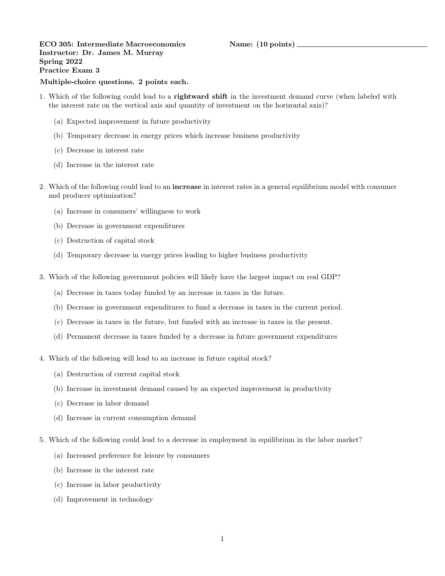ECO 305: Intermediate Macroeconomics Name: (10 points) Instructor: Dr. James M. Murray Spring 2022 Practice Exam 3

## Multiple-choice questions. 2 points each.

- 1. Which of the following could lead to a rightward shift in the investment demand curve (when labeled with the interest rate on the vertical axis and quantity of investment on the horizontal axis)?
	- (a) Expected improvement in future productivity
	- (b) Temporary decrease in energy prices which increase business productivity
	- (c) Decrease in interest rate
	- (d) Increase in the interest rate
- 2. Which of the following could lead to an increase in interest rates in a general equilibrium model with consumer and producer optimization?
	- (a) Increase in consumers' willingness to work
	- (b) Decrease in government expenditures
	- (c) Destruction of capital stock
	- (d) Temporary decrease in energy prices leading to higher business productivity
- 3. Which of the following government policies will likely have the largest impact on real GDP?
	- (a) Decrease in taxes today funded by an increase in taxes in the future.
	- (b) Decrease in government expenditures to fund a decrease in taxes in the current period.
	- (c) Decrease in taxes in the future, but funded with an increase in taxes in the present.
	- (d) Permanent decrease in taxes funded by a decrease in future government expenditures
- 4. Which of the following will lead to an increase in future capital stock?
	- (a) Destruction of current capital stock
	- (b) Increase in investment demand caused by an expected improvement in productivity
	- (c) Decrease in labor demand
	- (d) Increase in current consumption demand
- 5. Which of the following could lead to a decrease in employment in equilibrium in the labor market?
	- (a) Increased preference for leisure by consumers
	- (b) Increase in the interest rate
	- (c) Increase in labor productivity
	- (d) Improvement in technology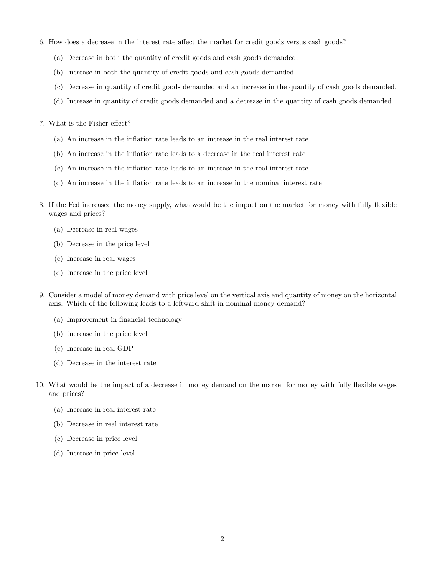- 6. How does a decrease in the interest rate affect the market for credit goods versus cash goods?
	- (a) Decrease in both the quantity of credit goods and cash goods demanded.
	- (b) Increase in both the quantity of credit goods and cash goods demanded.
	- (c) Decrease in quantity of credit goods demanded and an increase in the quantity of cash goods demanded.
	- (d) Increase in quantity of credit goods demanded and a decrease in the quantity of cash goods demanded.
- 7. What is the Fisher effect?
	- (a) An increase in the inflation rate leads to an increase in the real interest rate
	- (b) An increase in the inflation rate leads to a decrease in the real interest rate
	- (c) An increase in the inflation rate leads to an increase in the real interest rate
	- (d) An increase in the inflation rate leads to an increase in the nominal interest rate
- 8. If the Fed increased the money supply, what would be the impact on the market for money with fully flexible wages and prices?
	- (a) Decrease in real wages
	- (b) Decrease in the price level
	- (c) Increase in real wages
	- (d) Increase in the price level
- 9. Consider a model of money demand with price level on the vertical axis and quantity of money on the horizontal axis. Which of the following leads to a leftward shift in nominal money demand?
	- (a) Improvement in financial technology
	- (b) Increase in the price level
	- (c) Increase in real GDP
	- (d) Decrease in the interest rate
- 10. What would be the impact of a decrease in money demand on the market for money with fully flexible wages and prices?
	- (a) Increase in real interest rate
	- (b) Decrease in real interest rate
	- (c) Decrease in price level
	- (d) Increase in price level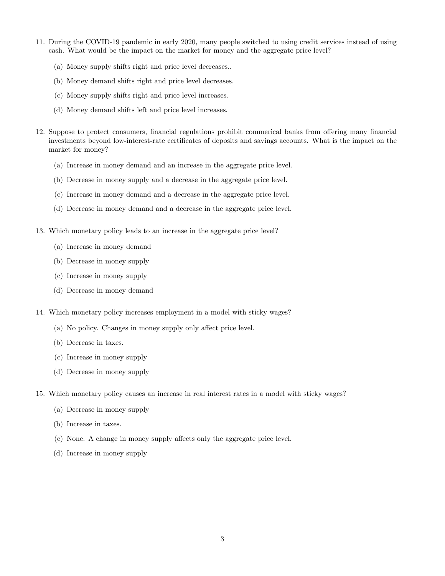- 11. During the COVID-19 pandemic in early 2020, many people switched to using credit services instead of using cash. What would be the impact on the market for money and the aggregate price level?
	- (a) Money supply shifts right and price level decreases..
	- (b) Money demand shifts right and price level decreases.
	- (c) Money supply shifts right and price level increases.
	- (d) Money demand shifts left and price level increases.
- 12. Suppose to protect consumers, financial regulations prohibit commerical banks from offering many financial investments beyond low-interest-rate certificates of deposits and savings accounts. What is the impact on the market for money?
	- (a) Increase in money demand and an increase in the aggregate price level.
	- (b) Decrease in money supply and a decrease in the aggregate price level.
	- (c) Increase in money demand and a decrease in the aggregate price level.
	- (d) Decrease in money demand and a decrease in the aggregate price level.
- 13. Which monetary policy leads to an increase in the aggregate price level?
	- (a) Increase in money demand
	- (b) Decrease in money supply
	- (c) Increase in money supply
	- (d) Decrease in money demand
- 14. Which monetary policy increases employment in a model with sticky wages?
	- (a) No policy. Changes in money supply only affect price level.
	- (b) Decrease in taxes.
	- (c) Increase in money supply
	- (d) Decrease in money supply
- 15. Which monetary policy causes an increase in real interest rates in a model with sticky wages?
	- (a) Decrease in money supply
	- (b) Increase in taxes.
	- (c) None. A change in money supply affects only the aggregate price level.
	- (d) Increase in money supply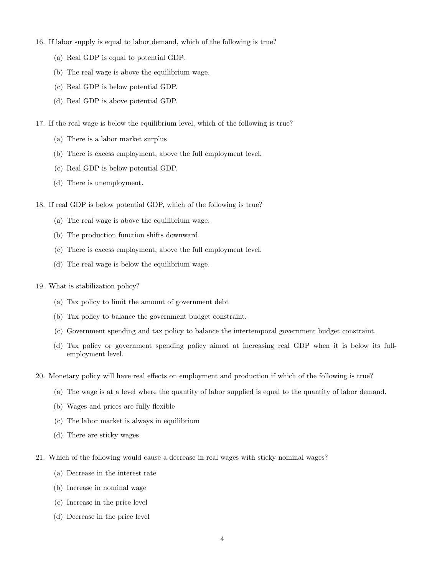- 16. If labor supply is equal to labor demand, which of the following is true?
	- (a) Real GDP is equal to potential GDP.
	- (b) The real wage is above the equilibrium wage.
	- (c) Real GDP is below potential GDP.
	- (d) Real GDP is above potential GDP.
- 17. If the real wage is below the equilibrium level, which of the following is true?
	- (a) There is a labor market surplus
	- (b) There is excess employment, above the full employment level.
	- (c) Real GDP is below potential GDP.
	- (d) There is unemployment.
- 18. If real GDP is below potential GDP, which of the following is true?
	- (a) The real wage is above the equilibrium wage.
	- (b) The production function shifts downward.
	- (c) There is excess employment, above the full employment level.
	- (d) The real wage is below the equilibrium wage.
- 19. What is stabilization policy?
	- (a) Tax policy to limit the amount of government debt
	- (b) Tax policy to balance the government budget constraint.
	- (c) Government spending and tax policy to balance the intertemporal government budget constraint.
	- (d) Tax policy or government spending policy aimed at increasing real GDP when it is below its fullemployment level.
- 20. Monetary policy will have real effects on employment and production if which of the following is true?
	- (a) The wage is at a level where the quantity of labor supplied is equal to the quantity of labor demand.
	- (b) Wages and prices are fully flexible
	- (c) The labor market is always in equilibrium
	- (d) There are sticky wages
- 21. Which of the following would cause a decrease in real wages with sticky nominal wages?
	- (a) Decrease in the interest rate
	- (b) Increase in nominal wage
	- (c) Increase in the price level
	- (d) Decrease in the price level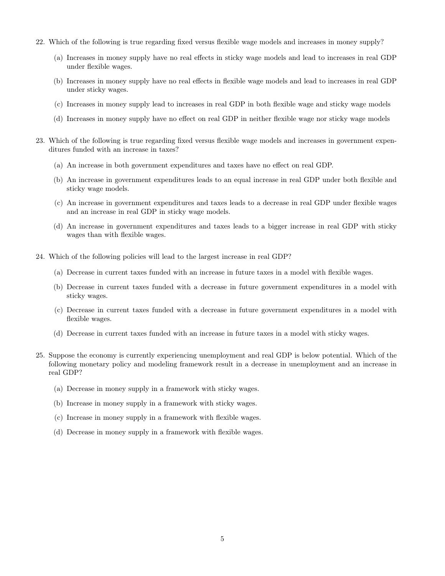- 22. Which of the following is true regarding fixed versus flexible wage models and increases in money supply?
	- (a) Increases in money supply have no real effects in sticky wage models and lead to increases in real GDP under flexible wages.
	- (b) Increases in money supply have no real effects in flexible wage models and lead to increases in real GDP under sticky wages.
	- (c) Increases in money supply lead to increases in real GDP in both flexible wage and sticky wage models
	- (d) Increases in money supply have no effect on real GDP in neither flexible wage nor sticky wage models
- 23. Which of the following is true regarding fixed versus flexible wage models and increases in government expenditures funded with an increase in taxes?
	- (a) An increase in both government expenditures and taxes have no effect on real GDP.
	- (b) An increase in government expenditures leads to an equal increase in real GDP under both flexible and sticky wage models.
	- (c) An increase in government expenditures and taxes leads to a decrease in real GDP under flexible wages and an increase in real GDP in sticky wage models.
	- (d) An increase in government expenditures and taxes leads to a bigger increase in real GDP with sticky wages than with flexible wages.
- 24. Which of the following policies will lead to the largest increase in real GDP?
	- (a) Decrease in current taxes funded with an increase in future taxes in a model with flexible wages.
	- (b) Decrease in current taxes funded with a decrease in future government expenditures in a model with sticky wages.
	- (c) Decrease in current taxes funded with a decrease in future government expenditures in a model with flexible wages.
	- (d) Decrease in current taxes funded with an increase in future taxes in a model with sticky wages.
- 25. Suppose the economy is currently experiencing unemployment and real GDP is below potential. Which of the following monetary policy and modeling framework result in a decrease in unemployment and an increase in real GDP?
	- (a) Decrease in money supply in a framework with sticky wages.
	- (b) Increase in money supply in a framework with sticky wages.
	- (c) Increase in money supply in a framework with flexible wages.
	- (d) Decrease in money supply in a framework with flexible wages.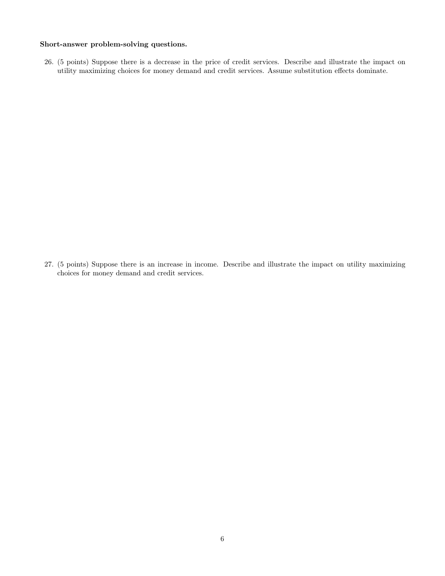## Short-answer problem-solving questions.

26. (5 points) Suppose there is a decrease in the price of credit services. Describe and illustrate the impact on utility maximizing choices for money demand and credit services. Assume substitution effects dominate.

27. (5 points) Suppose there is an increase in income. Describe and illustrate the impact on utility maximizing choices for money demand and credit services.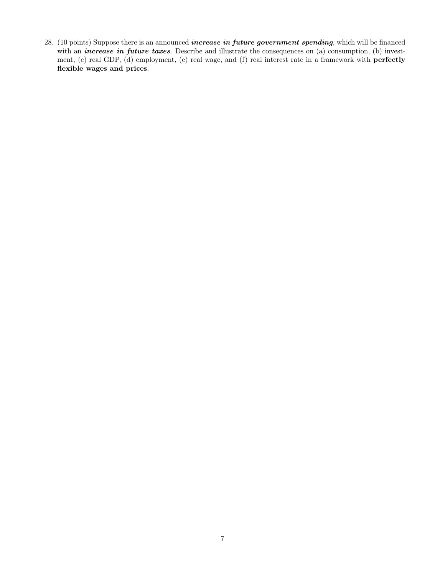28. (10 points) Suppose there is an announced *increase in future government spending*, which will be financed with an *increase in future taxes*. Describe and illustrate the consequences on (a) consumption, (b) investment, (c) real GDP, (d) employment, (e) real wage, and (f) real interest rate in a framework with perfectly flexible wages and prices.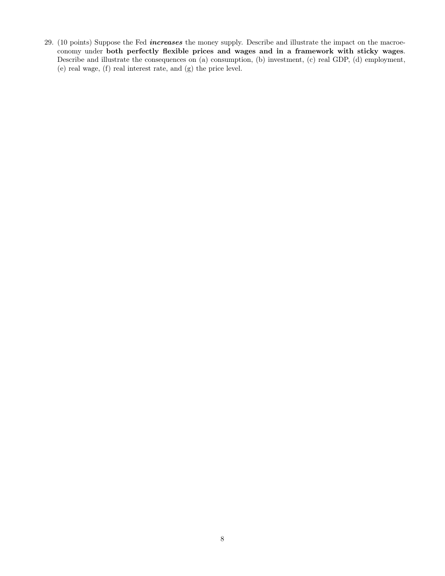29. (10 points) Suppose the Fed *increases* the money supply. Describe and illustrate the impact on the macroeconomy under both perfectly flexible prices and wages and in a framework with sticky wages. Describe and illustrate the consequences on (a) consumption, (b) investment, (c) real GDP, (d) employment, (e) real wage, (f) real interest rate, and (g) the price level.